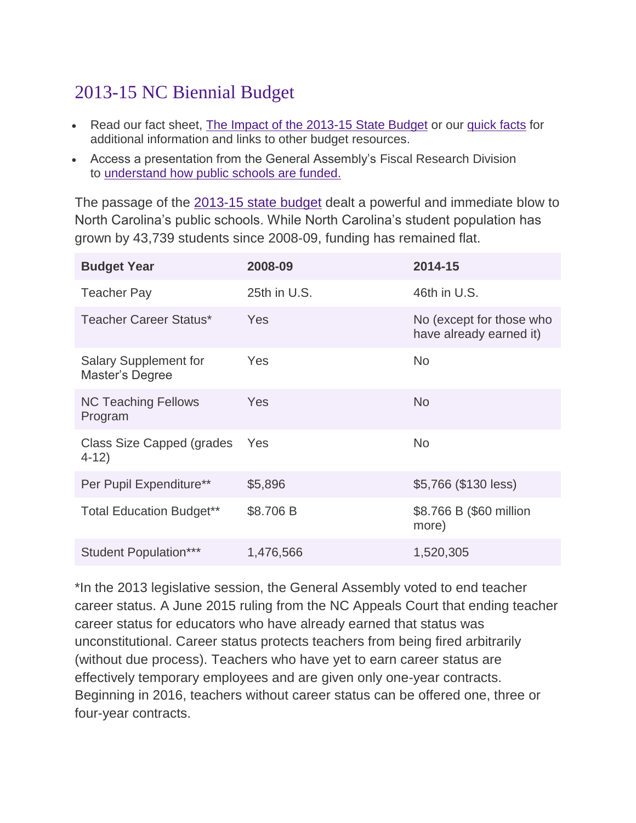## 2013-15 NC Biennial Budget

- Read our fact sheet, [The Impact of the 2013-15 State Budget](http://www.publicschoolsfirstnc.org/wp-content/uploads/2013/09/9-23-14-The-Impact-of-the-2013-15-State-Budget.pdf) or our [quick facts](http://www.publicschoolsfirstnc.org/wp-content/uploads/2013/09/9-23-14-Quick-Facts-2013-15-State-Budget-Impact-.pdf) for additional information and links to other budget resources.
- Access a presentation from the General Assembly's Fiscal Research Division to [understand how public schools are funded.](http://www.ncleg.net/documentsites/committees/JointAppropriationsEducation/2015%20Session/03_03_2015%20Meeting/FRD_PubSchoolAllotment_2015_03_03.pdf)

The passage of the [2013-15 state budget](http://www.ncleg.net/Sessions/2013/Bills/Senate/PDF/S744v9.pdf) dealt a powerful and immediate blow to North Carolina's public schools. While North Carolina's student population has grown by 43,739 students since 2008-09, funding has remained flat.

| <b>Budget Year</b>                              | 2008-09      | 2014-15                                             |
|-------------------------------------------------|--------------|-----------------------------------------------------|
| <b>Teacher Pay</b>                              | 25th in U.S. | 46th in U.S.                                        |
| <b>Teacher Career Status*</b>                   | <b>Yes</b>   | No (except for those who<br>have already earned it) |
| <b>Salary Supplement for</b><br>Master's Degree | Yes          | <b>No</b>                                           |
| <b>NC Teaching Fellows</b><br>Program           | Yes          | <b>No</b>                                           |
| Class Size Capped (grades<br>$4-12)$            | Yes          | <b>No</b>                                           |
| Per Pupil Expenditure**                         | \$5,896      | \$5,766 (\$130 less)                                |
| <b>Total Education Budget**</b>                 | \$8.706 B    | \$8.766 B (\$60 million<br>more)                    |
| <b>Student Population***</b>                    | 1,476,566    | 1,520,305                                           |

\*In the 2013 legislative session, the General Assembly voted to end teacher career status. A June 2015 ruling from the NC Appeals Court that ending teacher career status for educators who have already earned that status was unconstitutional. Career status protects teachers from being fired arbitrarily (without due process). Teachers who have yet to earn career status are effectively temporary employees and are given only one-year contracts. Beginning in 2016, teachers without career status can be offered one, three or four-year contracts.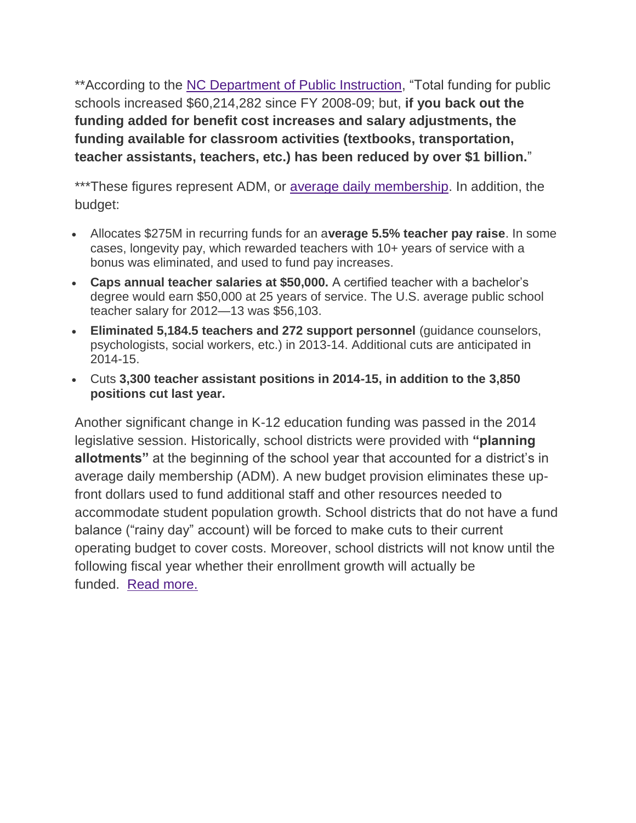\*\*According to the [NC Department of Public Instruction,](http://www.ncpublicschools.org/docs/fbs/budget/fundingchanges.pdf) "Total funding for public schools increased \$60,214,282 since FY 2008-09; but, **if you back out the funding added for benefit cost increases and salary adjustments, the funding available for classroom activities (textbooks, transportation, teacher assistants, teachers, etc.) has been reduced by over \$1 billion.**"

\*\*\*These figures represent ADM, or [average daily membership.](http://www.ncpublicschools.org/fbs/accounting/data/) In addition, the budget:

- Allocates \$275M in recurring funds for an a**verage 5.5% teacher pay raise**. In some cases, longevity pay, which rewarded teachers with 10+ years of service with a bonus was eliminated, and used to fund pay increases.
- **Caps annual teacher salaries at \$50,000.** A certified teacher with a bachelor's degree would earn \$50,000 at 25 years of service. The U.S. average public school teacher salary for 2012—13 was \$56,103.
- **Eliminated 5,184.5 teachers and 272 support personnel** (guidance counselors, psychologists, social workers, etc.) in 2013-14. Additional cuts are anticipated in 2014-15.
- Cuts **3,300 teacher assistant positions in 2014-15, in addition to the 3,850 positions cut last year.**

Another significant change in K-12 education funding was passed in the 2014 legislative session. Historically, school districts were provided with **"planning allotments"** at the beginning of the school year that accounted for a district's in average daily membership (ADM). A new budget provision eliminates these upfront dollars used to fund additional staff and other resources needed to accommodate student population growth. School districts that do not have a fund balance ("rainy day" account) will be forced to make cuts to their current operating budget to cover costs. Moreover, school districts will not know until the following fiscal year whether their enrollment growth will actually be funded. [Read more.](http://pulse.ncpolicywatch.org/2014/09/15/policy-change-means-funding-for-new-students-no-longer-a-guarantee-for-public-schools/)